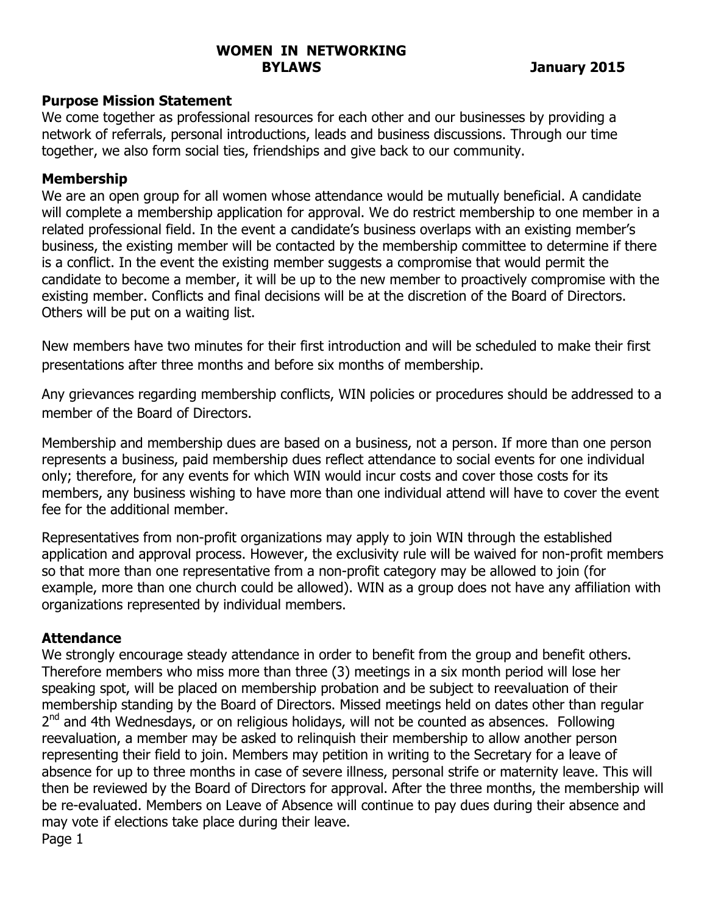## **WOMEN IN NETWORKING BYLAWS January 2015**

## **Purpose Mission Statement**

We come together as professional resources for each other and our businesses by providing a network of referrals, personal introductions, leads and business discussions. Through our time together, we also form social ties, friendships and give back to our community.

# **Membership**

We are an open group for all women whose attendance would be mutually beneficial. A candidate will complete a membership application for approval. We do restrict membership to one member in a related professional field. In the event a candidate's business overlaps with an existing member's business, the existing member will be contacted by the membership committee to determine if there is a conflict. In the event the existing member suggests a compromise that would permit the candidate to become a member, it will be up to the new member to proactively compromise with the existing member. Conflicts and final decisions will be at the discretion of the Board of Directors. Others will be put on a waiting list.

New members have two minutes for their first introduction and will be scheduled to make their first presentations after three months and before six months of membership.

Any grievances regarding membership conflicts, WIN policies or procedures should be addressed to a member of the Board of Directors.

Membership and membership dues are based on a business, not a person. If more than one person represents a business, paid membership dues reflect attendance to social events for one individual only; therefore, for any events for which WIN would incur costs and cover those costs for its members, any business wishing to have more than one individual attend will have to cover the event fee for the additional member.

Representatives from non-profit organizations may apply to join WIN through the established application and approval process. However, the exclusivity rule will be waived for non-profit members so that more than one representative from a non-profit category may be allowed to join (for example, more than one church could be allowed). WIN as a group does not have any affiliation with organizations represented by individual members.

# **Attendance**

We strongly encourage steady attendance in order to benefit from the group and benefit others. Therefore members who miss more than three (3) meetings in a six month period will lose her speaking spot, will be placed on membership probation and be subject to reevaluation of their membership standing by the Board of Directors. Missed meetings held on dates other than regular  $2<sup>nd</sup>$  and 4th Wednesdays, or on religious holidays, will not be counted as absences. Following reevaluation, a member may be asked to relinquish their membership to allow another person representing their field to join. Members may petition in writing to the Secretary for a leave of absence for up to three months in case of severe illness, personal strife or maternity leave. This will then be reviewed by the Board of Directors for approval. After the three months, the membership will be re-evaluated. Members on Leave of Absence will continue to pay dues during their absence and may vote if elections take place during their leave. Page 1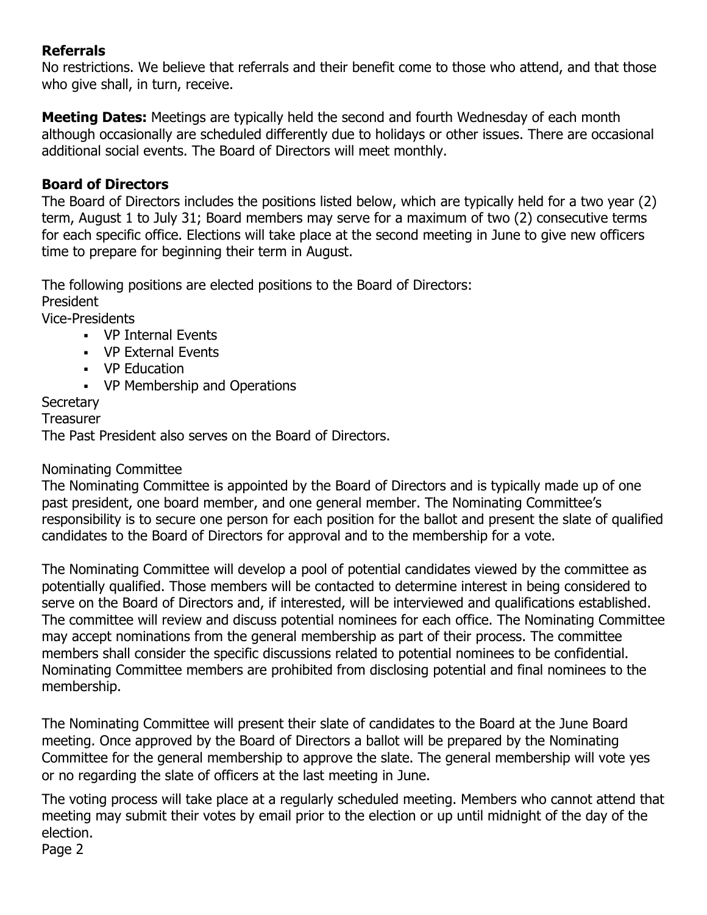# **Referrals**

No restrictions. We believe that referrals and their benefit come to those who attend, and that those who give shall, in turn, receive.

**Meeting Dates:** Meetings are typically held the second and fourth Wednesday of each month although occasionally are scheduled differently due to holidays or other issues. There are occasional additional social events. The Board of Directors will meet monthly.

# **Board of Directors**

The Board of Directors includes the positions listed below, which are typically held for a two year (2) term, August 1 to July 31; Board members may serve for a maximum of two (2) consecutive terms for each specific office. Elections will take place at the second meeting in June to give new officers time to prepare for beginning their term in August.

The following positions are elected positions to the Board of Directors: President

Vice-Presidents

- ! VP Internal Events
- ! VP External Events
- ! VP Education
- ! VP Membership and Operations

# **Secretary**

**Treasurer** 

The Past President also serves on the Board of Directors.

# Nominating Committee

The Nominating Committee is appointed by the Board of Directors and is typically made up of one past president, one board member, and one general member. The Nominating Committee's responsibility is to secure one person for each position for the ballot and present the slate of qualified candidates to the Board of Directors for approval and to the membership for a vote.

The Nominating Committee will develop a pool of potential candidates viewed by the committee as potentially qualified. Those members will be contacted to determine interest in being considered to serve on the Board of Directors and, if interested, will be interviewed and qualifications established. The committee will review and discuss potential nominees for each office. The Nominating Committee may accept nominations from the general membership as part of their process. The committee members shall consider the specific discussions related to potential nominees to be confidential. Nominating Committee members are prohibited from disclosing potential and final nominees to the membership.

The Nominating Committee will present their slate of candidates to the Board at the June Board meeting. Once approved by the Board of Directors a ballot will be prepared by the Nominating Committee for the general membership to approve the slate. The general membership will vote yes or no regarding the slate of officers at the last meeting in June.

The voting process will take place at a regularly scheduled meeting. Members who cannot attend that meeting may submit their votes by email prior to the election or up until midnight of the day of the election.

Page 2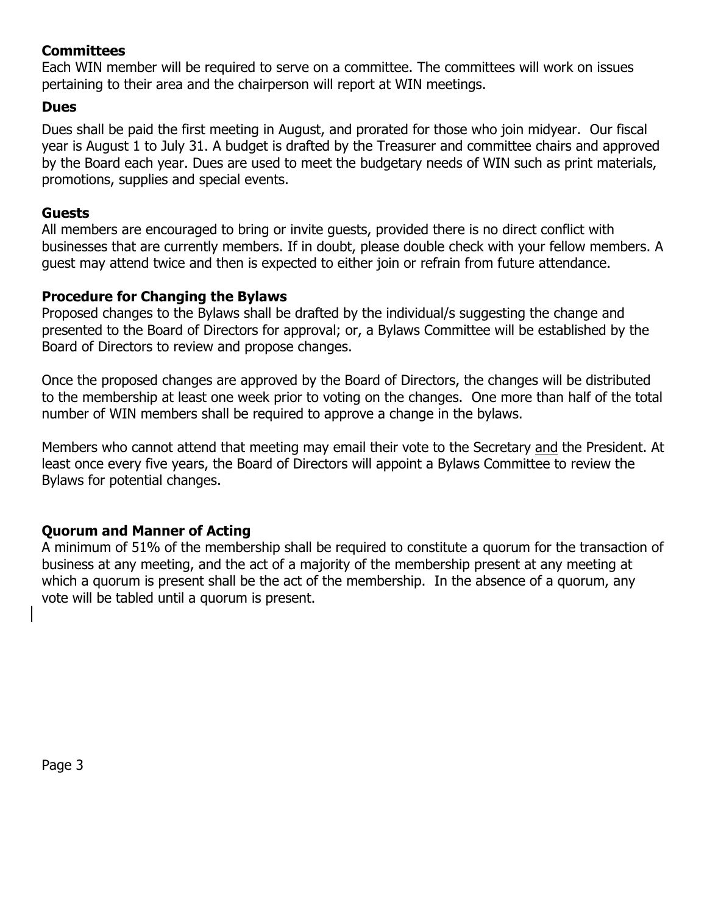## **Committees**

Each WIN member will be required to serve on a committee. The committees will work on issues pertaining to their area and the chairperson will report at WIN meetings.

#### **Dues**

Dues shall be paid the first meeting in August, and prorated for those who join midyear. Our fiscal year is August 1 to July 31. A budget is drafted by the Treasurer and committee chairs and approved by the Board each year. Dues are used to meet the budgetary needs of WIN such as print materials, promotions, supplies and special events.

#### **Guests**

All members are encouraged to bring or invite guests, provided there is no direct conflict with businesses that are currently members. If in doubt, please double check with your fellow members. A guest may attend twice and then is expected to either join or refrain from future attendance.

#### **Procedure for Changing the Bylaws**

Proposed changes to the Bylaws shall be drafted by the individual/s suggesting the change and presented to the Board of Directors for approval; or, a Bylaws Committee will be established by the Board of Directors to review and propose changes.

Once the proposed changes are approved by the Board of Directors, the changes will be distributed to the membership at least one week prior to voting on the changes. One more than half of the total number of WIN members shall be required to approve a change in the bylaws.

Members who cannot attend that meeting may email their vote to the Secretary and the President. At least once every five years, the Board of Directors will appoint a Bylaws Committee to review the Bylaws for potential changes.

### **Quorum and Manner of Acting**

A minimum of 51% of the membership shall be required to constitute a quorum for the transaction of business at any meeting, and the act of a majority of the membership present at any meeting at which a quorum is present shall be the act of the membership. In the absence of a quorum, any vote will be tabled until a quorum is present.